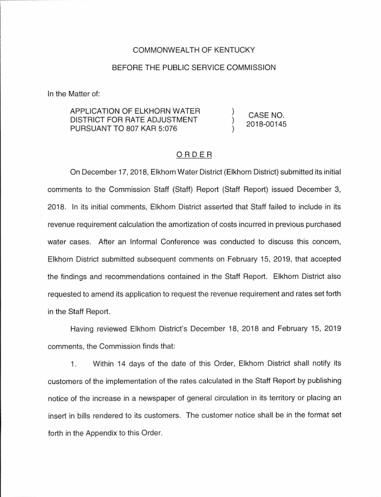## COMMONWEAL TH OF KENTUCKY

## BEFORE THE PUBLIC SERVICE COMMISSION

In the Matter of:

#### APPLICATION OF ELKHORN WATER DISTRICT FOR RATE ADJUSTMENT PURSUANT TO 807 KAR 5:076 CASE NO. 2018-00145

# ORDER

On December 17, 2018, Elkhorn Water District (Elkhorn District) submitted its initial comments to the Commission Staff (Staff) Report (Staff Report) issued December 3, 2018. In its initial comments, Elkhorn District asserted that Staff failed to include in its revenue requirement calculation the amortization of costs incurred in previous purchased water cases. After an Informal Conference was conducted to discuss this concern, Elkhorn District submitted subsequent comments on February 15, 2019, that accepted the findings and recommendations contained in the Staff Report. Elkhorn District also requested to amend its application to request the revenue requirement and rates set forth in the Staff Report.

Having reviewed Elkhorn District's December 18, 2018 and February 15, 2019 comments, the Commission finds that:

1. Within 14 days of the date of this Order, Elkhorn District shall notify its customers of the implementation of the rates calculated in the Staff Report by publishing notice of the increase in a newspaper of general circulation in its territory or placing an insert in bills rendered to its customers. The customer notice shall be in the format set forth in the Appendix to this Order.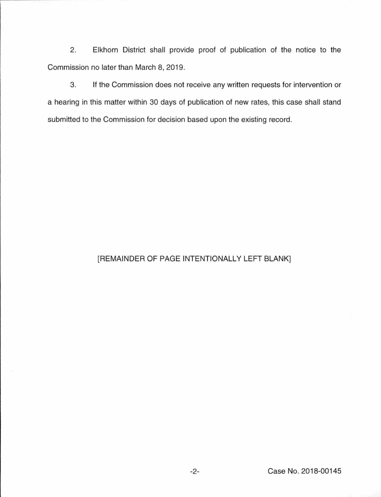2. Elkhorn District shall provide proof of publication of the notice to the Commission no later than March 8, 2019.

3. If the Commission does not receive any written requests for intervention or a hearing in this matter within 30 days of publication of new rates, this case shall stand submitted to the Commission for decision based upon the existing record.

# [REMAINDER OF PAGE INTENTIONALLY LEFT BLANK]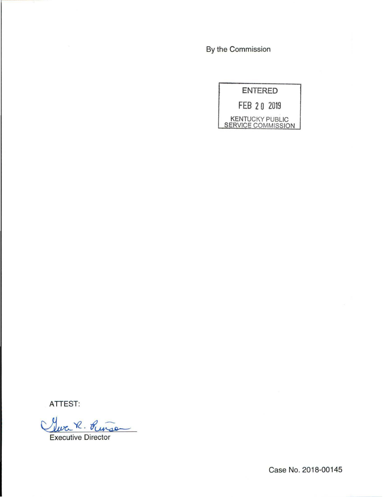By the Commission



ATTEST:

Geva R. Pinson

Executive Director

Case No. 2018-00145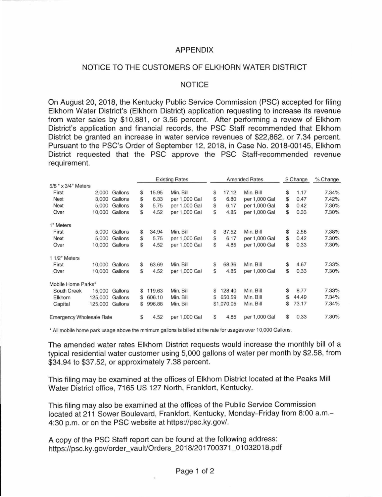# APPENDIX

# NOTICE TO THE CUSTOMERS OF ELKHORN WATER DISTRICT

## NOTICE

On August 20, 2018, the Kentucky Public Service Commission (PSC) accepted for filing Elkhorn Water District's (Elkhorn District) application requesting to increase its revenue from water sales by \$10,881, or 3.56 percent. After performing a review of Elkhorn District's application and financial records, the PSC Staff recommended that Elkhorn District be granted an increase in water service revenues of \$22,862, or 7.34 percent. Pursuant to the PSC's Order of September 12, 2018, in Case No. 2018-00145, Elkhorn District requested that the PSC approve the PSC Staff-recommended revenue requirement.

|                                 |         |         | <b>Existing Rates</b> |        |               | <b>Amended Rates</b> |            |               | \$ Change |       | % Change |
|---------------------------------|---------|---------|-----------------------|--------|---------------|----------------------|------------|---------------|-----------|-------|----------|
| 5/8 " x 3/4" Meters             |         |         |                       |        |               |                      |            |               |           |       |          |
| First                           | 2,000   | Gallons | S                     | 15.95  | Min. Bill     | \$                   | 17.12      | Min. Bill     | \$        | 1.17  | 7.34%    |
| Next                            | 3,000   | Gallons | \$                    | 6.33   | per 1,000 Gal | \$                   | 6.80       | per 1,000 Gal | \$        | 0.47  | 7.42%    |
| Next                            | 5,000   | Gallons | S                     | 5.75   | per 1,000 Gal | \$                   | 6.17       | per 1,000 Gal | \$        | 0.42  | 7.30%    |
| Over                            | 10,000  | Gallons | \$                    | 4.52   | per 1,000 Gal | \$                   | 4.85       | per 1,000 Gal | \$        | 0.33  | 7.30%    |
| 1" Meters                       |         |         |                       |        |               |                      |            |               |           |       |          |
| First                           | 5.000   | Gallons | S                     | 34.94  | Min. Bill     | \$                   | 37.52      | Min. Bill     | \$        | 2.58  | 7.38%    |
| Next                            | 5.000   | Gallons | S                     | 5.75   | per 1,000 Gal | \$                   | 6.17       | per 1,000 Gal | \$        | 0.42  | 7.30%    |
| Over                            | 10,000  | Gallons | \$                    | 4.52   | per 1,000 Gal | \$                   | 4.85       | per 1,000 Gal | \$        | 0.33  | 7.30%    |
| 1 1/2" Meters                   |         |         |                       |        |               |                      |            |               |           |       |          |
| First                           | 10,000  | Gallons | \$                    | 63.69  | Min. Bill     | S                    | 68.36      | Min. Bill     | \$        | 4.67  | 7.33%    |
| Over                            | 10,000  | Gallons | S                     | 4.52   | per 1,000 Gal | \$                   | 4.85       | per 1,000 Gal | \$        | 0.33  | 7.30%    |
| Mobile Home Parks*              |         |         |                       |        |               |                      |            |               |           |       |          |
| South Creek                     | 15,000  | Gallons | S                     | 119.63 | Min. Bill     | S                    | 128.40     | Min. Bill     | \$        | 8.77  | 7.33%    |
| Elkhorn                         | 125,000 | Gallons | S                     | 606.10 | Min. Bill     | \$                   | 650.59     | Min. Bill     | \$        | 44.49 | 7.34%    |
| Capital                         | 125,000 | Gallons | S                     | 996.88 | Min. Bill     |                      | \$1,070.05 | Min. Bill     | \$        | 73.17 | 7.34%    |
| <b>Emergency Wholesale Rate</b> |         |         | S                     | 4.52   | per 1,000 Gal | S                    | 4.85       | per 1,000 Gal | \$        | 0.33  | 7.30%    |

• All mobile home park usage above the mnimum gallons is billed at the rate for usages over 10,000 Gallons.

The amended water rates Elkhorn District requests would increase the monthly bill of a typical residential water customer using 5,000 gallons of water per month by \$2.58, from \$34.94 to \$37.52, or approximately 7.38 percent.

This filing may be examined at the offices of Elkhorn District located at the Peaks Mill Water District office, 7165 US 127 North, Frankfort, Kentucky.

This filing may also be examined at the offices of the Public Service Commission located at 211 Sower Boulevard, Frankfort, Kentucky, Monday-Friday from 8:00 a.m.-4:30 p.m. or on the PSC website at https://psc.ky.gov/.

A copy of the PSC Staff report can be found at the following address: https://psc.ky.gov/order\_vault/Orders\_2018/201700371 \_01032018.pdf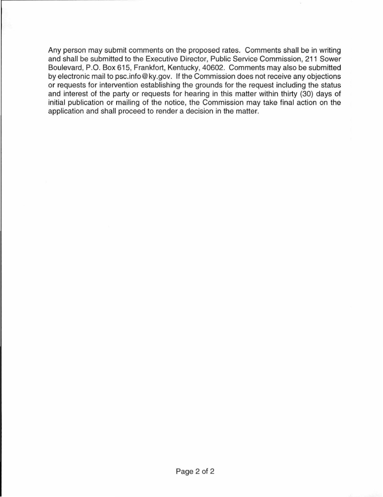Any person may submit comments on the proposed rates. Comments shall be in writing and shall be submitted to the Executive Director, Public Service Commission, 211 Sower Boulevard, P.O. Box 615, Frankfort, Kentucky, 40602. Comments may also be submitted by electronic mail to psc.info@ky.gov. If the Commission does not receive any objections or requests for intervention establishing the grounds for the request including the status and interest of the party or requests for hearing in this matter within thirty (30) days of initial publication or mailing of the notice, the Commission may take final action on the application and shall proceed to render a decision in the matter.